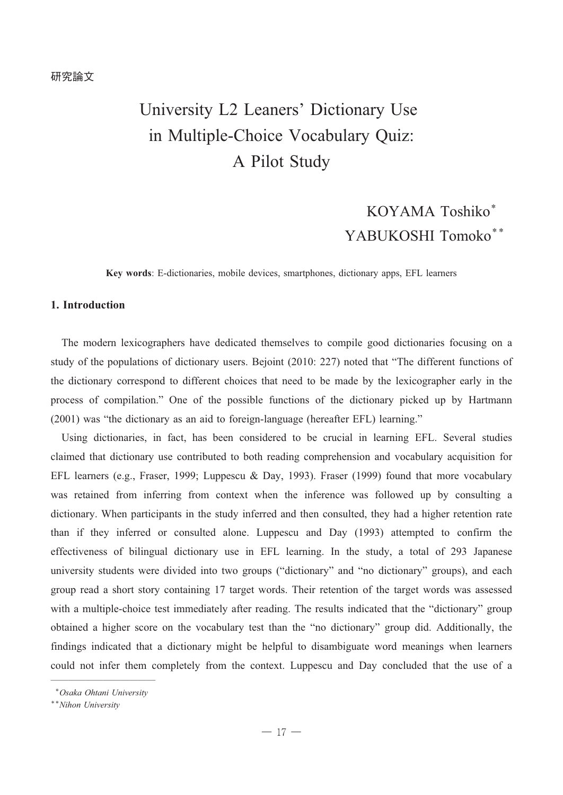# University L2 Leaners' Dictionary Use in Multiple-Choice Vocabulary Quiz: A Pilot Study

## KOYAMA Toshiko\* YABUKOSHI Tomoko\*\*

**Key words**: E-dictionaries, mobile devices, smartphones, dictionary apps, EFL learners

## **1. Introduction**

The modern lexicographers have dedicated themselves to compile good dictionaries focusing on a study of the populations of dictionary users. Bejoint (2010: 227) noted that "The different functions of the dictionary correspond to different choices that need to be made by the lexicographer early in the process of compilation." One of the possible functions of the dictionary picked up by Hartmann (2001) was "the dictionary as an aid to foreign-language (hereafter EFL) learning."

Using dictionaries, in fact, has been considered to be crucial in learning EFL. Several studies claimed that dictionary use contributed to both reading comprehension and vocabulary acquisition for EFL learners (e.g., Fraser, 1999; Luppescu & Day, 1993). Fraser (1999) found that more vocabulary was retained from inferring from context when the inference was followed up by consulting a dictionary. When participants in the study inferred and then consulted, they had a higher retention rate than if they inferred or consulted alone. Luppescu and Day (1993) attempted to confirm the effectiveness of bilingual dictionary use in EFL learning. In the study, a total of 293 Japanese university students were divided into two groups ("dictionary" and "no dictionary" groups), and each group read a short story containing 17 target words. Their retention of the target words was assessed with a multiple-choice test immediately after reading. The results indicated that the "dictionary" group obtained a higher score on the vocabulary test than the "no dictionary" group did. Additionally, the findings indicated that a dictionary might be helpful to disambiguate word meanings when learners could not infer them completely from the context. Luppescu and Day concluded that the use of a

<sup>────────&</sup>lt;del>───────</del> \**Osaka Ohtani University*

<sup>\*\*</sup>*Nihon University*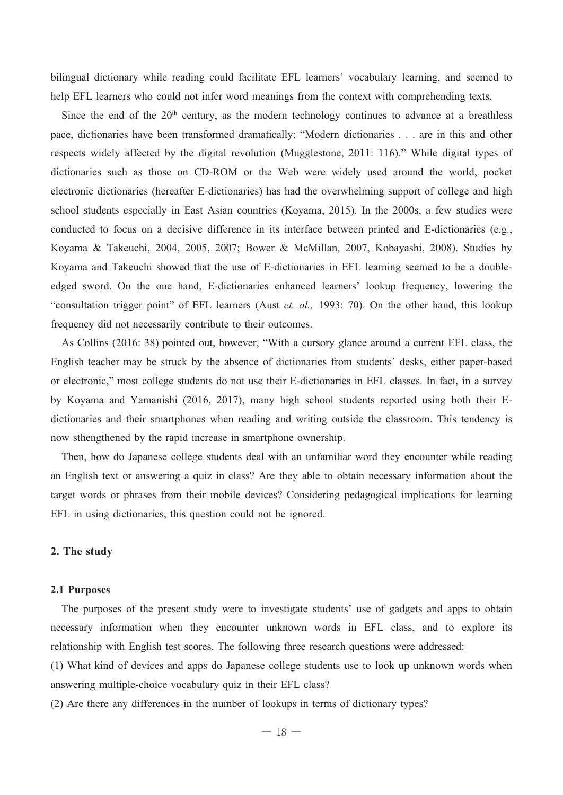bilingual dictionary while reading could facilitate EFL learners' vocabulary learning, and seemed to help EFL learners who could not infer word meanings from the context with comprehending texts.

Since the end of the  $20<sup>th</sup>$  century, as the modern technology continues to advance at a breathless pace, dictionaries have been transformed dramatically; "Modern dictionaries . . . are in this and other respects widely affected by the digital revolution (Mugglestone, 2011: 116)." While digital types of dictionaries such as those on CD-ROM or the Web were widely used around the world, pocket electronic dictionaries (hereafter E-dictionaries) has had the overwhelming support of college and high school students especially in East Asian countries (Koyama, 2015). In the 2000s, a few studies were conducted to focus on a decisive difference in its interface between printed and E-dictionaries (e.g., Koyama & Takeuchi, 2004, 2005, 2007; Bower & McMillan, 2007, Kobayashi, 2008). Studies by Koyama and Takeuchi showed that the use of E-dictionaries in EFL learning seemed to be a double edged sword. On the one hand, E-dictionaries enhanced learners' lookup frequency, lowering the "consultation trigger point" of EFL learners (Aust *et. al.,* 1993: 70). On the other hand, this lookup frequency did not necessarily contribute to their outcomes.

As Collins (2016: 38) pointed out, however, "With a cursory glance around a current EFL class, the English teacher may be struck by the absence of dictionaries from students' desks, either paper-based or electronic," most college students do not use their E-dictionaries in EFL classes. In fact, in a survey by Koyama and Yamanishi (2016, 2017), many high school students reported using both their E dictionaries and their smartphones when reading and writing outside the classroom. This tendency is now sthengthened by the rapid increase in smartphone ownership.

Then, how do Japanese college students deal with an unfamiliar word they encounter while reading an English text or answering a quiz in class? Are they able to obtain necessary information about the target words or phrases from their mobile devices? Considering pedagogical implications for learning EFL in using dictionaries, this question could not be ignored.

#### **2. The study**

#### **2.1 Purposes**

The purposes of the present study were to investigate students' use of gadgets and apps to obtain necessary information when they encounter unknown words in EFL class, and to explore its relationship with English test scores. The following three research questions were addressed:

(1) What kind of devices and apps do Japanese college students use to look up unknown words when answering multiple-choice vocabulary quiz in their EFL class?

(2) Are there any differences in the number of lookups in terms of dictionary types?

 $-18-$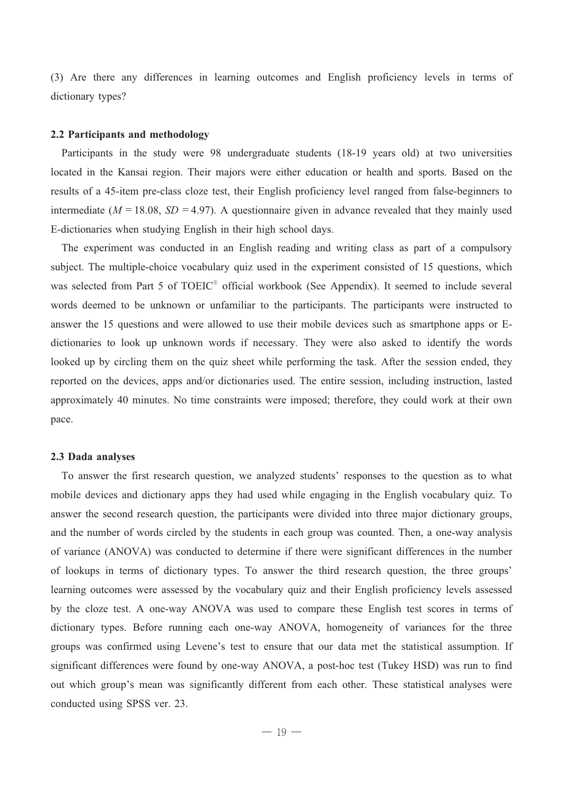(3) Are there any differences in learning outcomes and English proficiency levels in terms of dictionary types?

#### **2.2 Participants and methodology**

Participants in the study were 98 undergraduate students (18-19 years old) at two universities located in the Kansai region. Their majors were either education or health and sports. Based on the results of a 45-item pre-class cloze test, their English proficiency level ranged from false-beginners to intermediate ( $M = 18.08$ ,  $SD = 4.97$ ). A questionnaire given in advance revealed that they mainly used E-dictionaries when studying English in their high school days.

The experiment was conducted in an English reading and writing class as part of a compulsory subject. The multiple-choice vocabulary quiz used in the experiment consisted of 15 questions, which was selected from Part 5 of TOEIC<sup>®</sup> official workbook (See Appendix). It seemed to include several words deemed to be unknown or unfamiliar to the participants. The participants were instructed to answer the 15 questions and were allowed to use their mobile devices such as smartphone apps or E dictionaries to look up unknown words if necessary. They were also asked to identify the words looked up by circling them on the quiz sheet while performing the task. After the session ended, they reported on the devices, apps and/or dictionaries used. The entire session, including instruction, lasted approximately 40 minutes. No time constraints were imposed; therefore, they could work at their own pace.

#### **2.3 Dada analyses**

To answer the first research question, we analyzed students' responses to the question as to what mobile devices and dictionary apps they had used while engaging in the English vocabulary quiz. To answer the second research question, the participants were divided into three major dictionary groups, and the number of words circled by the students in each group was counted. Then, a one-way analysis of variance (ANOVA) was conducted to determine if there were significant differences in the number of lookups in terms of dictionary types. To answer the third research question, the three groups' learning outcomes were assessed by the vocabulary quiz and their English proficiency levels assessed by the cloze test. A one-way ANOVA was used to compare these English test scores in terms of dictionary types. Before running each one-way ANOVA, homogeneity of variances for the three groups was confirmed using Levene's test to ensure that our data met the statistical assumption. If significant differences were found by one-way ANOVA, a post-hoc test (Tukey HSD) was run to find out which group's mean was significantly different from each other. These statistical analyses were conducted using SPSS ver. 23.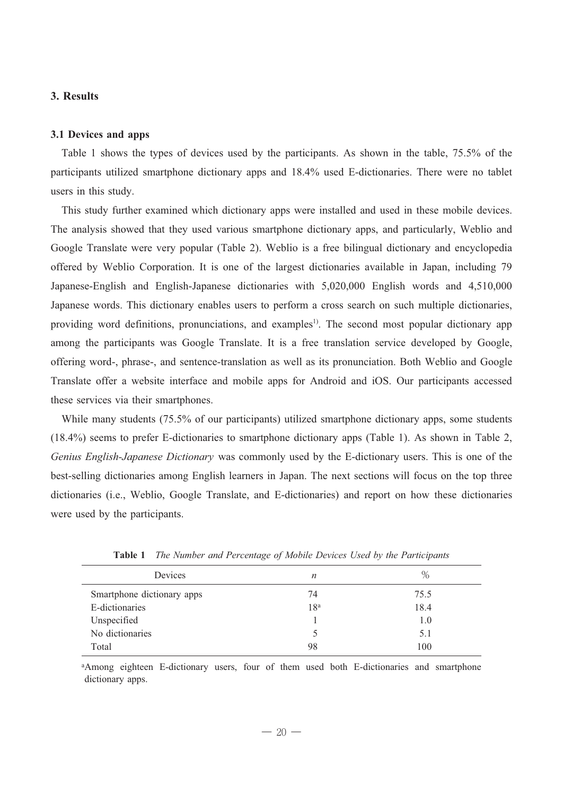### **3. Results**

#### **3.1 Devices and apps**

Table 1 shows the types of devices used by the participants. As shown in the table, 75.5% of the participants utilized smartphone dictionary apps and 18.4% used E-dictionaries. There were no tablet users in this study.

This study further examined which dictionary apps were installed and used in these mobile devices. The analysis showed that they used various smartphone dictionary apps, and particularly, Weblio and Google Translate were very popular (Table 2). Weblio is a free bilingual dictionary and encyclopedia offered by Weblio Corporation. It is one of the largest dictionaries available in Japan, including 79 Japanese-English and English-Japanese dictionaries with 5,020,000 English words and 4,510,000 Japanese words. This dictionary enables users to perform a cross search on such multiple dictionaries, providing word definitions, pronunciations, and examples<sup>1)</sup>. The second most popular dictionary app among the participants was Google Translate. It is a free translation service developed by Google, offering word-, phrase-, and sentence-translation as well as its pronunciation. Both Weblio and Google Translate offer a website interface and mobile apps for Android and iOS. Our participants accessed these services via their smartphones.

While many students (75.5% of our participants) utilized smartphone dictionary apps, some students (18.4%) seems to prefer E-dictionaries to smartphone dictionary apps (Table 1). As shown in Table 2, *Genius English-Japanese Dictionary* was commonly used by the E-dictionary users. This is one of the best-selling dictionaries among English learners in Japan. The next sections will focus on the top three dictionaries (i.e., Weblio, Google Translate, and E-dictionaries) and report on how these dictionaries were used by the participants.

| Devices                    | n               | $\%$ |
|----------------------------|-----------------|------|
| Smartphone dictionary apps | 74              | 75.5 |
| E-dictionaries             | 18 <sup>a</sup> | 18.4 |
| Unspecified                |                 | 1.0  |
| No dictionaries            |                 | 5.1  |
| Total                      | 98              | 100  |

**Table 1** *The Number and Percentage of Mobile Devices Used by the Participants*

aAmong eighteen E-dictionary users, four of them used both E-dictionaries and smartphone dictionary apps.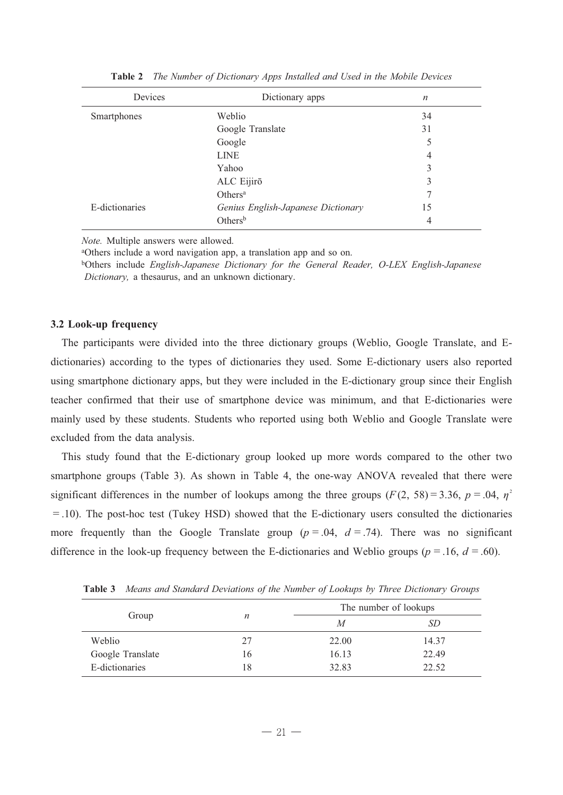| Devices        | Dictionary apps                    | $\boldsymbol{n}$ |
|----------------|------------------------------------|------------------|
| Smartphones    | Weblio                             | 34               |
|                | Google Translate                   | 31               |
|                | Google                             | 5                |
|                | <b>LINE</b>                        | 4                |
|                | Yahoo                              | 3                |
|                | ALC Eijirō                         | 3                |
|                | Others <sup>a</sup>                | 7                |
| E-dictionaries | Genius English-Japanese Dictionary | 15               |
|                | Others <sup>b</sup>                | 4                |

**Table 2** *The Number of Dictionary Apps Installed and Used in the Mobile Devices*

*Note.* Multiple answers were allowed.

a Others include a word navigation app, a translation app and so on.

bOthers include *English-Japanese Dictionary for the General Reader, O-LEX English-Japanese Dictionary,* a thesaurus, and an unknown dictionary.

#### **3.2 Look-up frequency**

The participants were divided into the three dictionary groups (Weblio, Google Translate, and Edictionaries) according to the types of dictionaries they used. Some E-dictionary users also reported using smartphone dictionary apps, but they were included in the E-dictionary group since their English teacher confirmed that their use of smartphone device was minimum, and that E-dictionaries were mainly used by these students. Students who reported using both Weblio and Google Translate were excluded from the data analysis.

This study found that the E-dictionary group looked up more words compared to the other two smartphone groups (Table 3). As shown in Table 4, the one-way ANOVA revealed that there were significant differences in the number of lookups among the three groups ( $F(2, 58) = 3.36$ ,  $p = .04$ ,  $\eta^2$ =.10). The post-hoc test (Tukey HSD) showed that the E-dictionary users consulted the dictionaries more frequently than the Google Translate group  $(p = .04, d = .74)$ . There was no significant difference in the look-up frequency between the E-dictionaries and Weblio groups ( $p = .16$ ,  $d = .60$ ).

|                  |    | The number of lookups |       |  |
|------------------|----|-----------------------|-------|--|
| Group            | n  | M                     | SD    |  |
| Weblio           | 27 | 22.00                 | 14.37 |  |
| Google Translate | 16 | 16.13                 | 22.49 |  |
| E-dictionaries   | 18 | 32.83                 | 22.52 |  |

**Table 3** *Means and Standard Deviations of the Number of Lookups by Three Dictionary Groups*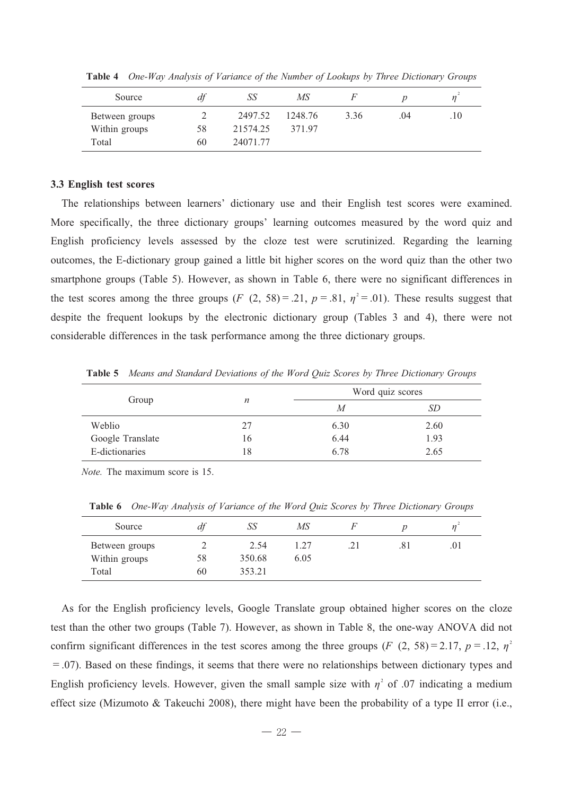| Source         | df | SS       | MS      |      |     |     |
|----------------|----|----------|---------|------|-----|-----|
| Between groups |    | 2497.52  | 1248.76 | 3.36 | .04 | .10 |
| Within groups  | 58 | 21574.25 | 371.97  |      |     |     |
| Total          | 60 | 24071.77 |         |      |     |     |

**Table 4** *One-Way Analysis of Variance of the Number of Lookups by Three Dictionary Groups*

#### **3.3 English test scores**

The relationships between learners' dictionary use and their English test scores were examined. More specifically, the three dictionary groups' learning outcomes measured by the word quiz and English proficiency levels assessed by the cloze test were scrutinized. Regarding the learning outcomes, the E-dictionary group gained a little bit higher scores on the word quiz than the other two smartphone groups (Table 5). However, as shown in Table 6, there were no significant differences in the test scores among the three groups (*F* (2, 58) = .21,  $p = .81$ ,  $\eta^2 = .01$ ). These results suggest that despite the frequent lookups by the electronic dictionary group (Tables 3 and 4), there were not considerable differences in the task performance among the three dictionary groups.

Group *n* Word quiz scores *M SD* Weblio Google Translate E-dictionaries 27 16 18 6.30 6.44 6.78 2.60 1.93 2.65

**Table 5** *Means and Standard Deviations of the Word Quiz Scores by Three Dictionary Groups*

*Note.* The maximum score is 15.

| Source         | df | SS     | MS   |     |     | $\eta$ |
|----------------|----|--------|------|-----|-----|--------|
| Between groups |    | 2.54   | 1.27 | .21 | .81 | .01    |
| Within groups  | 58 | 350.68 | 6.05 |     |     |        |
| Total          | 60 | 353.21 |      |     |     |        |

**Table 6** *One-Way Analysis of Variance of the Word Quiz Scores by Three Dictionary Groups*

As for the English proficiency levels, Google Translate group obtained higher scores on the cloze test than the other two groups (Table 7). However, as shown in Table 8, the one-way ANOVA did not confirm significant differences in the test scores among the three groups (*F* (2, 58) = 2.17,  $p = .12$ ,  $\eta^2$  $=$ .07). Based on these findings, it seems that there were no relationships between dictionary types and English proficiency levels. However, given the small sample size with  $\eta^2$  of .07 indicating a medium effect size (Mizumoto & Takeuchi 2008), there might have been the probability of a type II error (i.e.,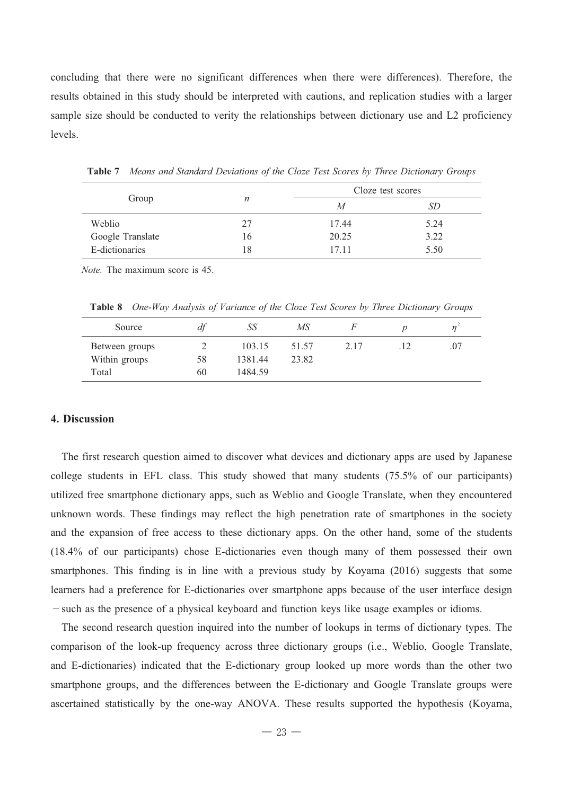concluding that there were no significant differences when there were differences). Therefore, the results obtained in this study should be interpreted with cautions, and replication studies with a larger sample size should be conducted to verity the relationships between dictionary use and L2 proficiency levels.

| Group            |    | Cloze test scores |      |
|------------------|----|-------------------|------|
|                  | n  | M                 | SD   |
| Weblio           | 27 | 17.44             | 5.24 |
| Google Translate | 16 | 20.25             | 3.22 |
| E-dictionaries   | 18 | 17.11             | 5.50 |

**Table 7** *Means and Standard Deviations of the Cloze Test Scores by Three Dictionary Groups*

*Note.* The maximum score is 45.

**Table 8** *One-Way Analysis of Variance of the Cloze Test Scores by Three Dictionary Groups*

| Source         | df | SS      | MS    |      |     |
|----------------|----|---------|-------|------|-----|
| Between groups |    | 103.15  | 51.57 | 2.17 | .07 |
| Within groups  | 58 | 1381.44 | 23.82 |      |     |
| Total          | 60 | 1484.59 |       |      |     |

#### **4. Discussion**

The first research question aimed to discover what devices and dictionary apps are used by Japanese college students in EFL class. This study showed that many students (75.5% of our participants) utilized free smartphone dictionary apps, such as Weblio and Google Translate, when they encountered unknown words. These findings may reflect the high penetration rate of smartphones in the society and the expansion of free access to these dictionary apps. On the other hand, some of the students (18.4% of our participants) chose E-dictionaries even though many of them possessed their own smartphones. This finding is in line with a previous study by Koyama (2016) suggests that some learners had a preference for E-dictionaries over smartphone apps because of the user interface design -such as the presence of a physical keyboard and function keys like usage examples or idioms.

The second research question inquired into the number of lookups in terms of dictionary types. The comparison of the look-up frequency across three dictionary groups (i.e., Weblio, Google Translate, and E-dictionaries) indicated that the E-dictionary group looked up more words than the other two smartphone groups, and the differences between the E-dictionary and Google Translate groups were ascertained statistically by the one-way ANOVA. These results supported the hypothesis (Koyama,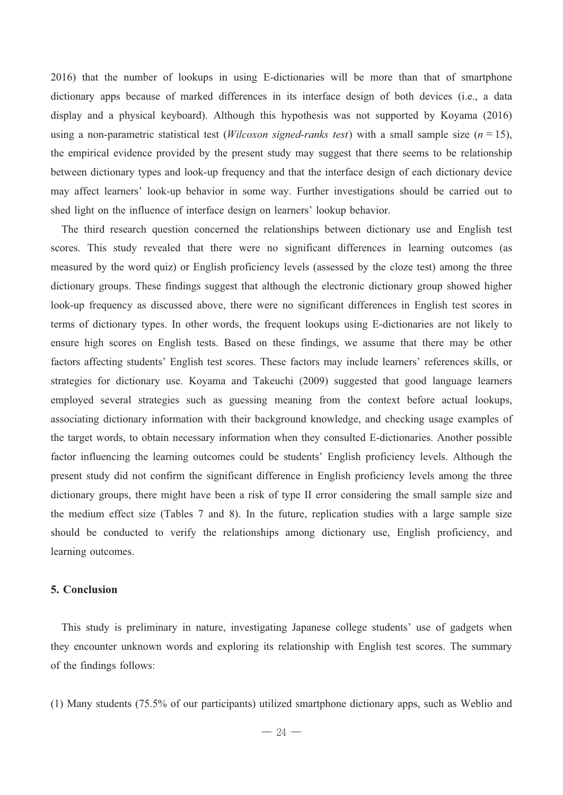2016) that the number of lookups in using E-dictionaries will be more than that of smartphone dictionary apps because of marked differences in its interface design of both devices (i.e., a data display and a physical keyboard). Although this hypothesis was not supported by Koyama (2016) using a non-parametric statistical test (*Wilcoxon signed-ranks test*) with a small sample size (*n*=15), the empirical evidence provided by the present study may suggest that there seems to be relationship between dictionary types and look-up frequency and that the interface design of each dictionary device may affect learners' look-up behavior in some way. Further investigations should be carried out to shed light on the influence of interface design on learners' lookup behavior.

The third research question concerned the relationships between dictionary use and English test scores. This study revealed that there were no significant differences in learning outcomes (as measured by the word quiz) or English proficiency levels (assessed by the cloze test) among the three dictionary groups. These findings suggest that although the electronic dictionary group showed higher look-up frequency as discussed above, there were no significant differences in English test scores in terms of dictionary types. In other words, the frequent lookups using E-dictionaries are not likely to ensure high scores on English tests. Based on these findings, we assume that there may be other factors affecting students' English test scores. These factors may include learners' references skills, or strategies for dictionary use. Koyama and Takeuchi (2009) suggested that good language learners employed several strategies such as guessing meaning from the context before actual lookups, associating dictionary information with their background knowledge, and checking usage examples of the target words, to obtain necessary information when they consulted E-dictionaries. Another possible factor influencing the learning outcomes could be students' English proficiency levels. Although the present study did not confirm the significant difference in English proficiency levels among the three dictionary groups, there might have been a risk of type II error considering the small sample size and the medium effect size (Tables 7 and 8). In the future, replication studies with a large sample size should be conducted to verify the relationships among dictionary use, English proficiency, and learning outcomes.

#### **5. Conclusion**

This study is preliminary in nature, investigating Japanese college students' use of gadgets when they encounter unknown words and exploring its relationship with English test scores. The summary of the findings follows:

(1) Many students (75.5% of our participants) utilized smartphone dictionary apps, such as Weblio and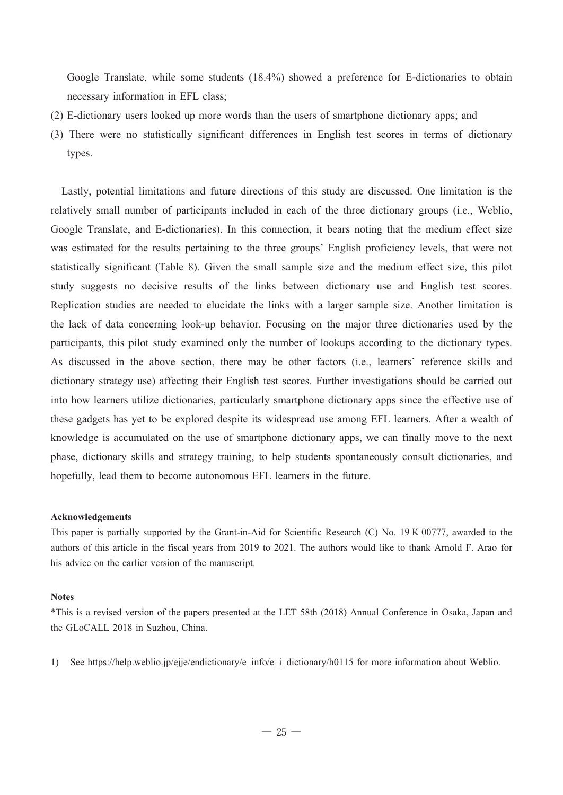Google Translate, while some students (18.4%) showed a preference for E-dictionaries to obtain necessary information in EFL class

- $(2)$  E-dictionary users looked up more words than the users of smartphone dictionary apps; and
- (3) There were no statistically significant differences in English test scores in terms of dictionary types.

Lastly, potential limitations and future directions of this study are discussed. One limitation is the relatively small number of participants included in each of the three dictionary groups (i.e., Weblio, Google Translate, and E-dictionaries). In this connection, it bears noting that the medium effect size was estimated for the results pertaining to the three groups' English proficiency levels, that were not statistically significant (Table 8). Given the small sample size and the medium effect size, this pilot study suggests no decisive results of the links between dictionary use and English test scores. Replication studies are needed to elucidate the links with a larger sample size. Another limitation is the lack of data concerning look-up behavior. Focusing on the major three dictionaries used by the participants, this pilot study examined only the number of lookups according to the dictionary types. As discussed in the above section, there may be other factors (i.e., learners' reference skills and dictionary strategy use) affecting their English test scores. Further investigations should be carried out into how learners utilize dictionaries, particularly smartphone dictionary apps since the effective use of these gadgets has yet to be explored despite its widespread use among EFL learners. After a wealth of knowledge is accumulated on the use of smartphone dictionary apps, we can finally move to the next phase, dictionary skills and strategy training, to help students spontaneously consult dictionaries, and hopefully, lead them to become autonomous EFL learners in the future.

#### **Acknowledgements**

This paper is partially supported by the Grant-in-Aid for Scientific Research (C) No. 19 K 00777, awarded to the authors of this article in the fiscal years from 2019 to 2021. The authors would like to thank Arnold F. Arao for his advice on the earlier version of the manuscript.

#### **Notes**

\*This is a revised version of the papers presented at the LET 58th (2018) Annual Conference in Osaka, Japan and the GLoCALL 2018 in Suzhou, China.

1) See https://help.weblio.jp/ejje/endictionary/e\_info/e\_i\_dictionary/h0115 for more information about Weblio.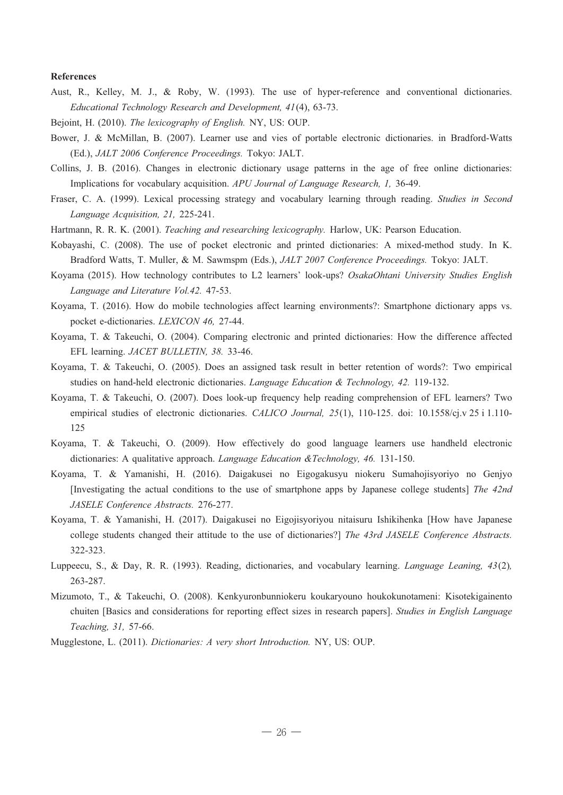#### **References**

- Aust, R., Kelley, M. J., & Roby, W. (1993). The use of hyper-reference and conventional dictionaries. *Educational Technology Research and Development, 41*(4), 63-73.
- Bejoint, H. (2010). *The lexicography of English.* NY, US: OUP.
- Bower, J. & McMillan, B. (2007). Learner use and vies of portable electronic dictionaries. in Bradford-Watts (Ed.), *JALT 2006 Conference Proceedings.* Tokyo: JALT.
- Collins, J. B. (2016). Changes in electronic dictionary usage patterns in the age of free online dictionaries: Implications for vocabulary acquisition. *APU Journal of Language Research, 1,* 36-49.
- Fraser, C. A. (1999). Lexical processing strategy and vocabulary learning through reading. *Studies in Second Language Acquisition, 21,* 225-241.
- Hartmann, R. R. K. (2001). *Teaching and researching lexicography.* Harlow, UK: Pearson Education.
- Kobayashi, C. (2008). The use of pocket electronic and printed dictionaries: A mixed-method study. In K. Bradford Watts, T. Muller, & M. Sawmspm (Eds.), *JALT 2007 Conference Proceedings.* Tokyo: JALT.
- Koyama (2015). How technology contributes to L2 learners' look-ups? *OsakaOhtani University Studies English Language and Literature Vol.42.* 47-53.
- Koyama, T. (2016). How do mobile technologies affect learning environments?: Smartphone dictionary apps vs. pocket e-dictionaries. *LEXICON 46,* 27-44.
- Koyama, T. & Takeuchi, O. (2004). Comparing electronic and printed dictionaries: How the difference affected EFL learning. *JACET BULLETIN, 38.* 33-46.
- Koyama, T. & Takeuchi, O. (2005). Does an assigned task result in better retention of words?: Two empirical studies on hand-held electronic dictionaries. *Language Education & Technology, 42.* 119-132.
- Koyama, T. & Takeuchi, O. (2007). Does look-up frequency help reading comprehension of EFL learners? Two empirical studies of electronic dictionaries. *CALICO Journal, 25*(1), 110-125. doi: 10.1558/cj.v 25 i 1.110- 125
- Koyama, T. & Takeuchi, O. (2009). How effectively do good language learners use handheld electronic dictionaries: A qualitative approach. *Language Education &Technology, 46.* 131-150.
- Koyama, T. & Yamanishi, H. (2016). Daigakusei no Eigogakusyu niokeru Sumahojisyoriyo no Genjyo [Investigating the actual conditions to the use of smartphone apps by Japanese college students] *The 42nd JASELE Conference Abstracts.* 276-277.
- Koyama, T. & Yamanishi, H. (2017). Daigakusei no Eigojisyoriyou nitaisuru Ishikihenka [How have Japanese college students changed their attitude to the use of dictionaries?] *The 43rd JASELE Conference Abstracts.* 322-323.
- Luppeecu, S., & Day, R. R. (1993). Reading, dictionaries, and vocabulary learning. *Language Leaning, 43*(2)*,* 263-287.
- Mizumoto, T., & Takeuchi, O. (2008). Kenkyuronbunniokeru koukaryouno houkokunotameni: Kisotekigainento chuiten [Basics and considerations for reporting effect sizes in research papers]. *Studies in English Language Teaching, 31,* 57-66.
- Mugglestone, L. (2011). *Dictionaries: A very short Introduction.* NY, US: OUP.